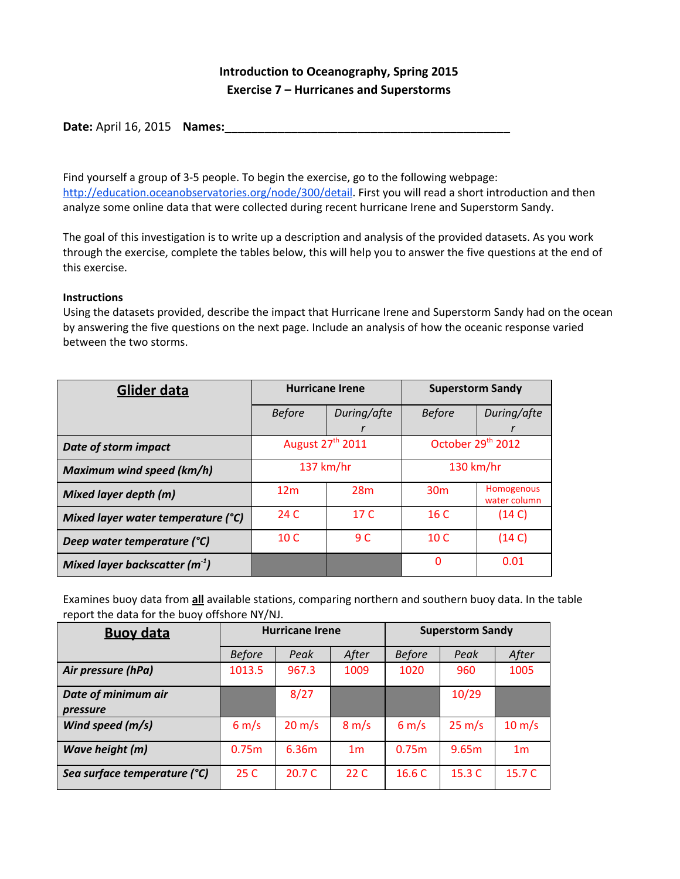## **Introduction to Oceanography, Spring 2015 Exercise 7 – Hurricanes and Superstorms**

**Date:** April 16, 2015 **Names:\_\_\_\_\_\_\_\_\_\_\_\_\_\_\_\_\_\_\_\_\_\_\_\_\_\_\_\_\_\_\_\_\_\_\_\_\_\_\_\_\_\_\_**

Find yourself a group of 3-5 people. To begin the exercise, go to the following webpage: [http://education.oceanobservatories.org/node/300/detail.](http://education.oceanobservatories.org/node/300/detail) First you will read a short introduction and then analyze some online data that were collected during recent hurricane Irene and Superstorm Sandy.

The goal of this investigation is to write up a description and analysis of the provided datasets. As you work through the exercise, complete the tables below, this will help you to answer the five questions at the end of this exercise.

## **Instructions**

Using the datasets provided, describe the impact that Hurricane Irene and Superstorm Sandy had on the ocean by answering the five questions on the next page. Include an analysis of how the oceanic response varied between the two storms.

| Glider data                        | <b>Hurricane Irene</b>       |                 | <b>Superstorm Sandy</b> |                                   |  |
|------------------------------------|------------------------------|-----------------|-------------------------|-----------------------------------|--|
|                                    | <b>Before</b>                | During/afte     | <b>Before</b>           | During/afte                       |  |
|                                    |                              |                 |                         |                                   |  |
| Date of storm impact               | August 27 <sup>th</sup> 2011 |                 | October 29th 2012       |                                   |  |
| Maximum wind speed (km/h)          | $137$ km/hr                  |                 | 130 km/hr               |                                   |  |
| Mixed layer depth (m)              | 12 <sub>m</sub>              | 28m             | 30 <sub>m</sub>         | <b>Homogenous</b><br>water column |  |
| Mixed layer water temperature (°C) | 24 C                         | 17 <sub>C</sub> | 16 C                    | (14 C)                            |  |
| Deep water temperature (°C)        | 10 <sup>C</sup>              | 9 C             | 10 <sup>C</sup>         | (14 C)                            |  |
| Mixed layer backscatter $(m-1)$    |                              |                 | $\mathbf{0}$            | 0.01                              |  |

Examines buoy data from **all** available stations, comparing northern and southern buoy data. In the table report the data for the buoy offshore NY/NJ.

| <b>Buoy data</b>                | <b>Hurricane Irene</b> |                  |                | <b>Superstorm Sandy</b> |                  |                  |
|---------------------------------|------------------------|------------------|----------------|-------------------------|------------------|------------------|
|                                 | <b>Before</b>          | Peak             | After          | <b>Before</b>           | Peak             | After            |
| Air pressure (hPa)              | 1013.5                 | 967.3            | 1009           | 1020                    | 960              | 1005             |
| Date of minimum air<br>pressure |                        | 8/27             |                |                         | 10/29            |                  |
| Wind speed (m/s)                | $6 \, \text{m/s}$      | $20 \text{ m/s}$ | 8 m/s          | $6 \text{ m/s}$         | $25 \text{ m/s}$ | $10 \text{ m/s}$ |
| Wave height (m)                 | 0.75m                  | 6.36m            | 1 <sub>m</sub> | 0.75m                   | 9.65m            | 1 <sub>m</sub>   |
| Sea surface temperature (°C)    | 25 C                   | 20.7 C           | 22 C           | 16.6 C                  | 15.3 C           | 15.7 C           |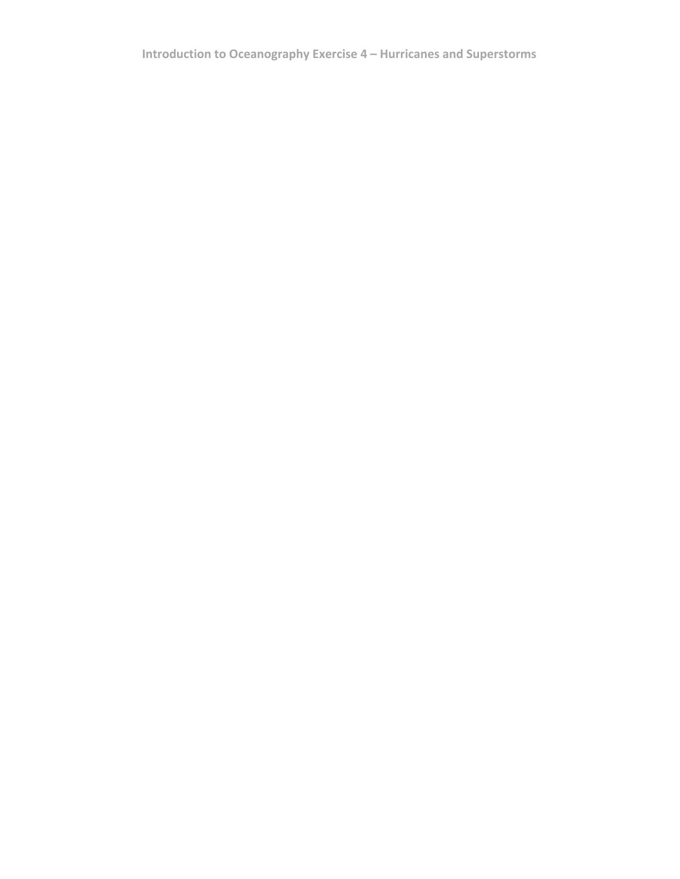**Introduction to Oceanography Exercise 4 – Hurricanes and Superstorms**